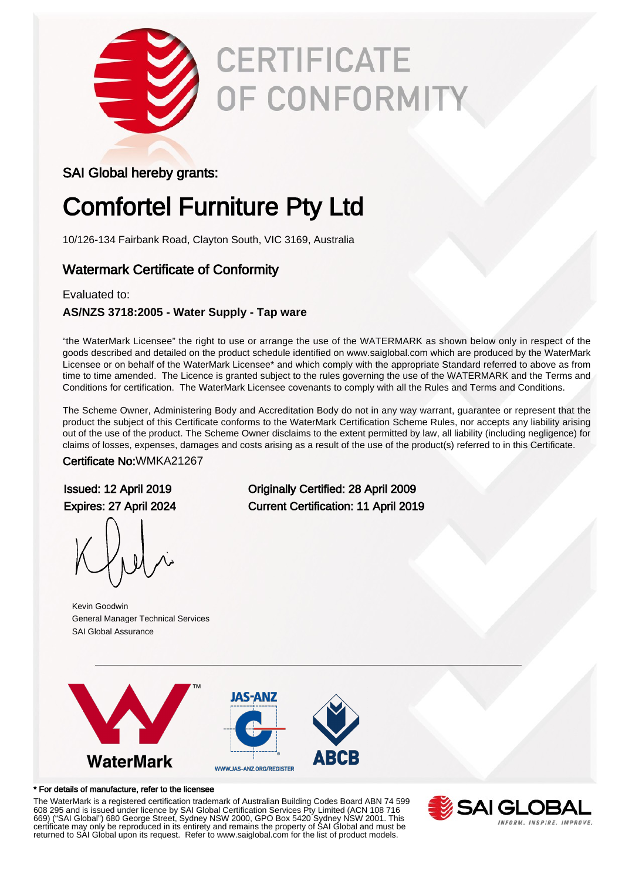

# **CERTIFICATE** OF CONFORMITY

### SAI Global hereby grants:

## Comfortel Furniture Pty Ltd

10/126-134 Fairbank Road, Clayton South, VIC 3169, Australia

### Watermark Certificate of Conformity

#### Evaluated to:

### **AS/NZS 3718:2005 - Water Supply - Tap ware**

"the WaterMark Licensee" the right to use or arrange the use of the WATERMARK as shown below only in respect of the goods described and detailed on the product schedule identified on www.saiglobal.com which are produced by the WaterMark Licensee or on behalf of the WaterMark Licensee\* and which comply with the appropriate Standard referred to above as from time to time amended. The Licence is granted subject to the rules governing the use of the WATERMARK and the Terms and Conditions for certification. The WaterMark Licensee covenants to comply with all the Rules and Terms and Conditions.

The Scheme Owner, Administering Body and Accreditation Body do not in any way warrant, guarantee or represent that the product the subject of this Certificate conforms to the WaterMark Certification Scheme Rules, nor accepts any liability arising out of the use of the product. The Scheme Owner disclaims to the extent permitted by law, all liability (including negligence) for claims of losses, expenses, damages and costs arising as a result of the use of the product(s) referred to in this Certificate.

Certificate No:WMKA21267

Kevin Goodwin General Manager Technical Services SAI Global Assurance

Issued: 12 April 2019 Originally Certified: 28 April 2009 Expires: 27 April 2024 Current Certification: 11 April 2019



#### \* For details of manufacture, refer to the licensee

The WaterMark is a registered certification trademark of Australian Building Codes Board ABN 74 599 608 295 and is issued under licence by SAI Global Certification Services Pty Limited (ACN 108 716 669) ("SAI Global") 680 George Street, Sydney NSW 2000, GPO Box 5420 Sydney NSW 2001. This certificate may only be reproduced in its entirety and remains the property of SAI Global and must be returned to SAI Global upon its request. Refer to www.saiglobal.com for the list of product models.